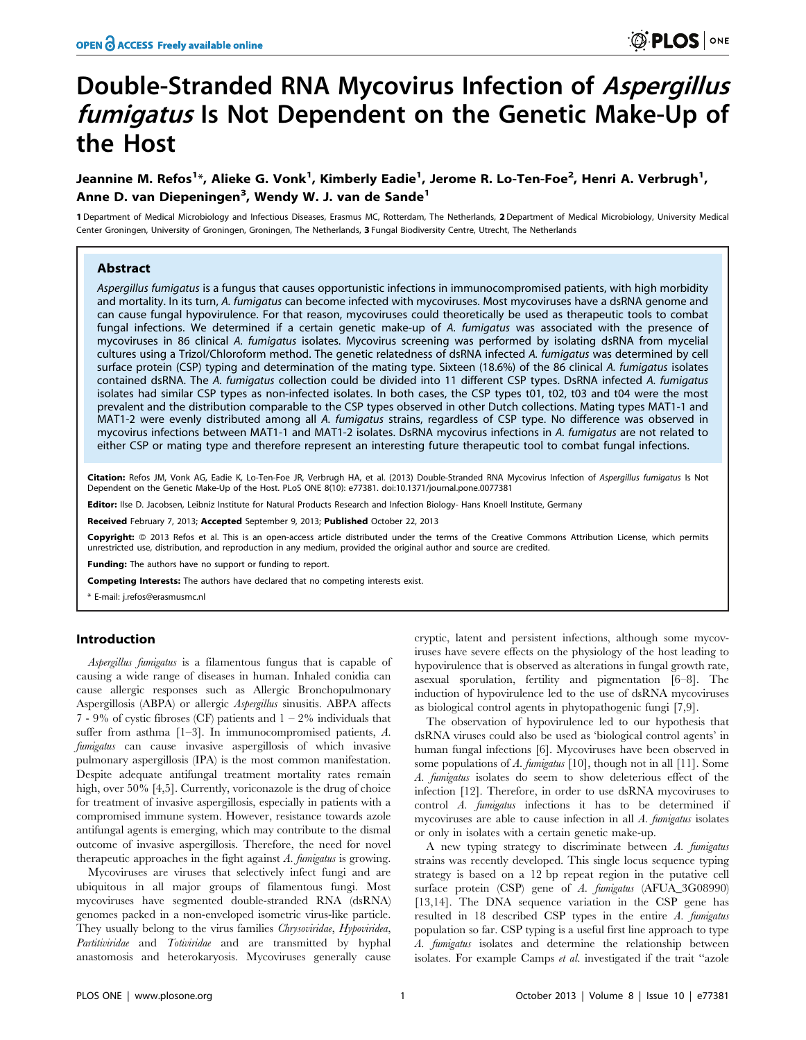# Double-Stranded RNA Mycovirus Infection of Aspergillus fumigatus Is Not Dependent on the Genetic Make-Up of the Host

# Jeannine M. Refos<sup>1</sup>\*, Alieke G. Vonk<sup>1</sup>, Kimberly Eadie<sup>1</sup>, Jerome R. Lo-Ten-Foe<sup>2</sup>, Henri A. Verbrugh<sup>1</sup>, Anne D. van Diepeningen<sup>3</sup>, Wendy W. J. van de Sande<sup>1</sup>

1 Department of Medical Microbiology and Infectious Diseases, Erasmus MC, Rotterdam, The Netherlands, 2 Department of Medical Microbiology, University Medical Center Groningen, University of Groningen, Groningen, The Netherlands, 3 Fungal Biodiversity Centre, Utrecht, The Netherlands

# Abstract

Aspergillus fumigatus is a fungus that causes opportunistic infections in immunocompromised patients, with high morbidity and mortality. In its turn, A. fumigatus can become infected with mycoviruses. Most mycoviruses have a dsRNA genome and can cause fungal hypovirulence. For that reason, mycoviruses could theoretically be used as therapeutic tools to combat fungal infections. We determined if a certain genetic make-up of A. fumigatus was associated with the presence of mycoviruses in 86 clinical A. fumigatus isolates. Mycovirus screening was performed by isolating dsRNA from mycelial cultures using a Trizol/Chloroform method. The genetic relatedness of dsRNA infected A. fumigatus was determined by cell surface protein (CSP) typing and determination of the mating type. Sixteen (18.6%) of the 86 clinical A. fumigatus isolates contained dsRNA. The A. fumigatus collection could be divided into 11 different CSP types. DsRNA infected A. fumigatus isolates had similar CSP types as non-infected isolates. In both cases, the CSP types t01, t02, t03 and t04 were the most prevalent and the distribution comparable to the CSP types observed in other Dutch collections. Mating types MAT1-1 and MAT1-2 were evenly distributed among all A. fumigatus strains, regardless of CSP type. No difference was observed in mycovirus infections between MAT1-1 and MAT1-2 isolates. DsRNA mycovirus infections in A. fumigatus are not related to either CSP or mating type and therefore represent an interesting future therapeutic tool to combat fungal infections.

Citation: Refos JM, Vonk AG, Eadie K, Lo-Ten-Foe JR, Verbrugh HA, et al. (2013) Double-Stranded RNA Mycovirus Infection of Aspergillus fumigatus Is Not Dependent on the Genetic Make-Up of the Host. PLoS ONE 8(10): e77381. doi:10.1371/journal.pone.0077381

Editor: Ilse D. Jacobsen, Leibniz Institute for Natural Products Research and Infection Biology- Hans Knoell Institute, Germany

Received February 7, 2013; Accepted September 9, 2013; Published October 22, 2013

Copyright: © 2013 Refos et al. This is an open-access article distributed under the terms of the Creative Commons Attribution License, which permits unrestricted use, distribution, and reproduction in any medium, provided the original author and source are credited.

Funding: The authors have no support or funding to report.

Competing Interests: The authors have declared that no competing interests exist.

\* E-mail: j.refos@erasmusmc.nl

### Introduction

Aspergillus fumigatus is a filamentous fungus that is capable of causing a wide range of diseases in human. Inhaled conidia can cause allergic responses such as Allergic Bronchopulmonary Aspergillosis (ABPA) or allergic Aspergillus sinusitis. ABPA affects 7 - 9% of cystic fibroses (CF) patients and  $1 - 2\%$  individuals that suffer from asthma [1–3]. In immunocompromised patients, A. fumigatus can cause invasive aspergillosis of which invasive pulmonary aspergillosis (IPA) is the most common manifestation. Despite adequate antifungal treatment mortality rates remain high, over 50% [4,5]. Currently, voriconazole is the drug of choice for treatment of invasive aspergillosis, especially in patients with a compromised immune system. However, resistance towards azole antifungal agents is emerging, which may contribute to the dismal outcome of invasive aspergillosis. Therefore, the need for novel therapeutic approaches in the fight against A. fumigatus is growing.

Mycoviruses are viruses that selectively infect fungi and are ubiquitous in all major groups of filamentous fungi. Most mycoviruses have segmented double-stranded RNA (dsRNA) genomes packed in a non-enveloped isometric virus-like particle. They usually belong to the virus families *Chrysoviridae*, *Hypoviridea*, Partitiviridae and Totiviridae and are transmitted by hyphal anastomosis and heterokaryosis. Mycoviruses generally cause cryptic, latent and persistent infections, although some mycoviruses have severe effects on the physiology of the host leading to hypovirulence that is observed as alterations in fungal growth rate, asexual sporulation, fertility and pigmentation [6–8]. The induction of hypovirulence led to the use of dsRNA mycoviruses as biological control agents in phytopathogenic fungi [7,9].

The observation of hypovirulence led to our hypothesis that dsRNA viruses could also be used as 'biological control agents' in human fungal infections [6]. Mycoviruses have been observed in some populations of A. fumigatus [10], though not in all [11]. Some A. fumigatus isolates do seem to show deleterious effect of the infection [12]. Therefore, in order to use dsRNA mycoviruses to control A. fumigatus infections it has to be determined if mycoviruses are able to cause infection in all A. fumigatus isolates or only in isolates with a certain genetic make-up.

A new typing strategy to discriminate between A. fumigatus strains was recently developed. This single locus sequence typing strategy is based on a 12 bp repeat region in the putative cell surface protein (CSP) gene of A. fumigatus (AFUA\_3G08990) [13,14]. The DNA sequence variation in the CSP gene has resulted in 18 described CSP types in the entire A. fumigatus population so far. CSP typing is a useful first line approach to type A. fumigatus isolates and determine the relationship between isolates. For example Camps et al. investigated if the trait ''azole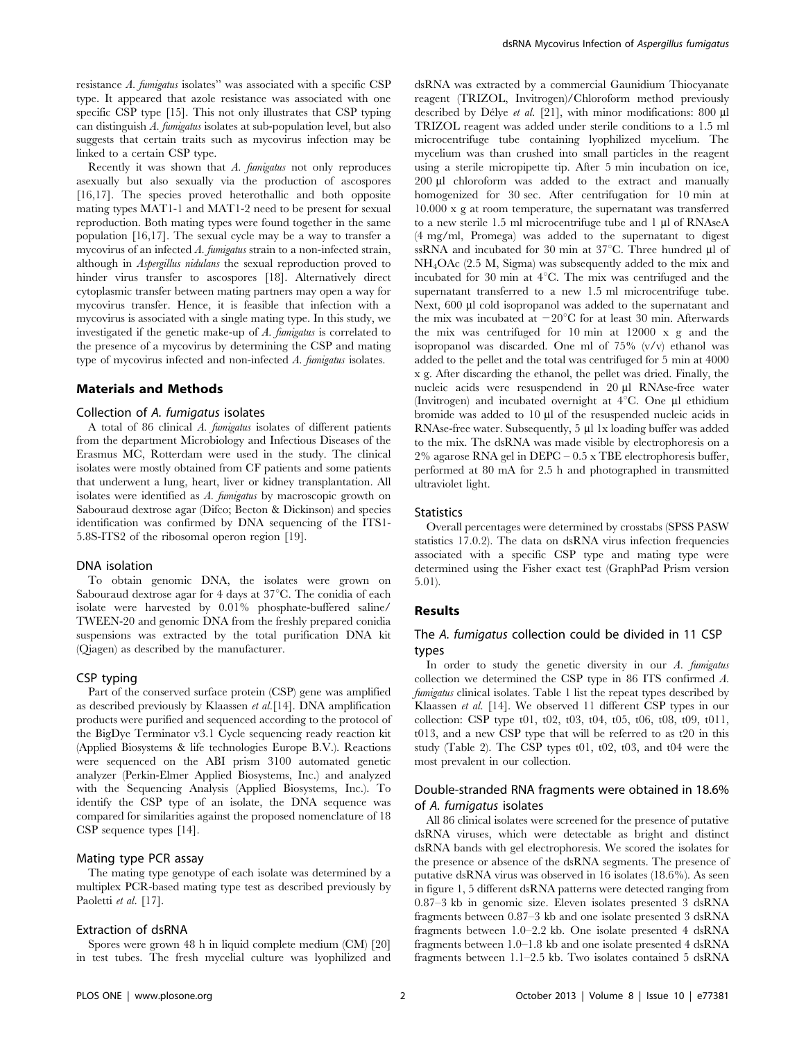resistance A. fumigatus isolates'' was associated with a specific CSP type. It appeared that azole resistance was associated with one specific CSP type [15]. This not only illustrates that CSP typing can distinguish A. fumigatus isolates at sub-population level, but also suggests that certain traits such as mycovirus infection may be linked to a certain CSP type.

Recently it was shown that A. fumigatus not only reproduces asexually but also sexually via the production of ascospores [16,17]. The species proved heterothallic and both opposite mating types MAT1-1 and MAT1-2 need to be present for sexual reproduction. Both mating types were found together in the same population [16,17]. The sexual cycle may be a way to transfer a mycovirus of an infected A. fumigatus strain to a non-infected strain, although in Aspergillus nidulans the sexual reproduction proved to hinder virus transfer to ascospores [18]. Alternatively direct cytoplasmic transfer between mating partners may open a way for mycovirus transfer. Hence, it is feasible that infection with a mycovirus is associated with a single mating type. In this study, we investigated if the genetic make-up of A. fumigatus is correlated to the presence of a mycovirus by determining the CSP and mating type of mycovirus infected and non-infected A. fumigatus isolates.

#### Materials and Methods

#### Collection of A. fumigatus isolates

A total of 86 clinical A. fumigatus isolates of different patients from the department Microbiology and Infectious Diseases of the Erasmus MC, Rotterdam were used in the study. The clinical isolates were mostly obtained from CF patients and some patients that underwent a lung, heart, liver or kidney transplantation. All isolates were identified as A. fumigatus by macroscopic growth on Sabouraud dextrose agar (Difco; Becton & Dickinson) and species identification was confirmed by DNA sequencing of the ITS1- 5.8S-ITS2 of the ribosomal operon region [19].

#### DNA isolation

To obtain genomic DNA, the isolates were grown on Sabouraud dextrose agar for 4 days at  $37^{\circ}$ C. The conidia of each isolate were harvested by 0.01% phosphate-buffered saline/ TWEEN-20 and genomic DNA from the freshly prepared conidia suspensions was extracted by the total purification DNA kit (Qiagen) as described by the manufacturer.

#### CSP typing

Part of the conserved surface protein (CSP) gene was amplified as described previously by Klaassen et al.[14]. DNA amplification products were purified and sequenced according to the protocol of the BigDye Terminator v3.1 Cycle sequencing ready reaction kit (Applied Biosystems & life technologies Europe B.V.). Reactions were sequenced on the ABI prism 3100 automated genetic analyzer (Perkin-Elmer Applied Biosystems, Inc.) and analyzed with the Sequencing Analysis (Applied Biosystems, Inc.). To identify the CSP type of an isolate, the DNA sequence was compared for similarities against the proposed nomenclature of 18 CSP sequence types [14].

# Mating type PCR assay

The mating type genotype of each isolate was determined by a multiplex PCR-based mating type test as described previously by Paoletti et al. [17].

#### Extraction of dsRNA

Spores were grown 48 h in liquid complete medium (CM) [20] in test tubes. The fresh mycelial culture was lyophilized and dsRNA was extracted by a commercial Gaunidium Thiocyanate reagent (TRIZOL, Invitrogen)/Chloroform method previously described by Délye et al. [21], with minor modifications: 800  $\mu$ l TRIZOL reagent was added under sterile conditions to a 1.5 ml microcentrifuge tube containing lyophilized mycelium. The mycelium was than crushed into small particles in the reagent using a sterile micropipette tip. After 5 min incubation on ice, 200 µl chloroform was added to the extract and manually homogenized for 30 sec. After centrifugation for 10 min at 10.000 x g at room temperature, the supernatant was transferred to a new sterile 1.5 ml microcentrifuge tube and 1 µl of RNAseA (4 mg/ml, Promega) was added to the supernatant to digest ssRNA and incubated for 30 min at  $37^{\circ}$ C. Three hundred ul of NH4OAc (2.5 M, Sigma) was subsequently added to the mix and incubated for 30 min at  $4^{\circ}$ C. The mix was centrifuged and the supernatant transferred to a new 1.5 ml microcentrifuge tube. Next, 600 µl cold isopropanol was added to the supernatant and the mix was incubated at  $-20^{\circ}$ C for at least 30 min. Afterwards the mix was centrifuged for 10 min at 12000 x g and the isopropanol was discarded. One ml of 75% (v/v) ethanol was added to the pellet and the total was centrifuged for 5 min at 4000 x g. After discarding the ethanol, the pellet was dried. Finally, the nucleic acids were resuspendend in 20 µl RNAse-free water (Invitrogen) and incubated overnight at  $4^{\circ}$ C. One  $\mu$ l ethidium bromide was added to 10 µl of the resuspended nucleic acids in RNAse-free water. Subsequently, 5 µl 1x loading buffer was added to the mix. The dsRNA was made visible by electrophoresis on a 2% agarose RNA gel in DEPC – 0.5 x TBE electrophoresis buffer, performed at 80 mA for 2.5 h and photographed in transmitted ultraviolet light.

#### **Statistics**

Overall percentages were determined by crosstabs (SPSS PASW statistics 17.0.2). The data on dsRNA virus infection frequencies associated with a specific CSP type and mating type were determined using the Fisher exact test (GraphPad Prism version 5.01).

#### Results

# The A. fumigatus collection could be divided in 11 CSP types

In order to study the genetic diversity in our A. fumigatus collection we determined the CSP type in 86 ITS confirmed A. fumigatus clinical isolates. Table 1 list the repeat types described by Klaassen et al. [14]. We observed 11 different CSP types in our collection: CSP type t01, t02, t03, t04, t05, t06, t08, t09, t011, t013, and a new CSP type that will be referred to as t20 in this study (Table 2). The CSP types t01, t02, t03, and t04 were the most prevalent in our collection.

# Double-stranded RNA fragments were obtained in 18.6% of A. fumigatus isolates

All 86 clinical isolates were screened for the presence of putative dsRNA viruses, which were detectable as bright and distinct dsRNA bands with gel electrophoresis. We scored the isolates for the presence or absence of the dsRNA segments. The presence of putative dsRNA virus was observed in 16 isolates (18.6%). As seen in figure 1, 5 different dsRNA patterns were detected ranging from 0.87–3 kb in genomic size. Eleven isolates presented 3 dsRNA fragments between 0.87–3 kb and one isolate presented 3 dsRNA fragments between 1.0–2.2 kb. One isolate presented 4 dsRNA fragments between 1.0–1.8 kb and one isolate presented 4 dsRNA fragments between 1.1–2.5 kb. Two isolates contained 5 dsRNA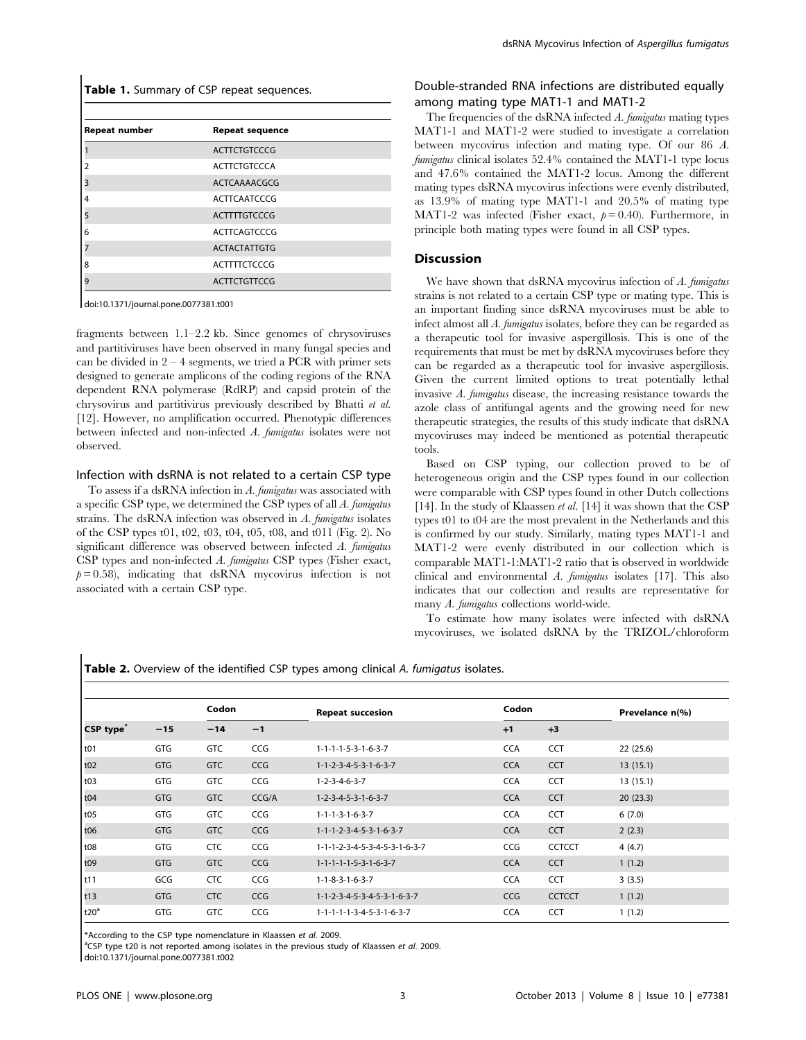| Table 1. Summary of CSP repeat sequences. |                        |  |  |  |  |
|-------------------------------------------|------------------------|--|--|--|--|
|                                           |                        |  |  |  |  |
| Repeat number                             | <b>Repeat sequence</b> |  |  |  |  |
|                                           | <b>ACTTCTGTCCCG</b>    |  |  |  |  |
| 2                                         | <b>ACTTCTGTCCCA</b>    |  |  |  |  |
| 3                                         | ACTCAAAACGCG           |  |  |  |  |
| 4                                         | <b>ACTTCAATCCCG</b>    |  |  |  |  |
| 5                                         | <b>ACTITTGTCCCG</b>    |  |  |  |  |
| 6                                         | <b>ACTTCAGTCCCG</b>    |  |  |  |  |
|                                           | <b>ACTACTATTGTG</b>    |  |  |  |  |
| 8                                         | <b>ACTTTTCTCCCG</b>    |  |  |  |  |
| 9                                         | <b>ACTTCTGTTCCG</b>    |  |  |  |  |

doi:10.1371/journal.pone.0077381.t001

fragments between 1.1–2.2 kb. Since genomes of chrysoviruses and partitiviruses have been observed in many fungal species and can be divided in  $2 - 4$  segments, we tried a PCR with primer sets designed to generate amplicons of the coding regions of the RNA dependent RNA polymerase (RdRP) and capsid protein of the chrysovirus and partitivirus previously described by Bhatti et al. [12]. However, no amplification occurred. Phenotypic differences between infected and non-infected A. fumigatus isolates were not observed.

#### Infection with dsRNA is not related to a certain CSP type

To assess if a dsRNA infection in A. fumigatus was associated with a specific CSP type, we determined the CSP types of all A. fumigatus strains. The dsRNA infection was observed in A. fumigatus isolates of the CSP types t01, t02, t03, t04, t05, t08, and t011 (Fig. 2). No significant difference was observed between infected A. fumigatus CSP types and non-infected A. fumigatus CSP types (Fisher exact,  $p = 0.58$ ), indicating that dsRNA mycovirus infection is not associated with a certain CSP type.

# Double-stranded RNA infections are distributed equally among mating type MAT1-1 and MAT1-2

The frequencies of the dsRNA infected  $\Lambda$ . fumigatus mating types MAT1-1 and MAT1-2 were studied to investigate a correlation between mycovirus infection and mating type. Of our 86 A. fumigatus clinical isolates 52.4% contained the MAT1-1 type locus and 47.6% contained the MAT1-2 locus. Among the different mating types dsRNA mycovirus infections were evenly distributed, as 13.9% of mating type MAT1-1 and 20.5% of mating type MAT1-2 was infected (Fisher exact,  $p = 0.40$ ). Furthermore, in principle both mating types were found in all CSP types.

#### Discussion

We have shown that dsRNA mycovirus infection of A. fumigatus strains is not related to a certain CSP type or mating type. This is an important finding since dsRNA mycoviruses must be able to infect almost all A. fumigatus isolates, before they can be regarded as a therapeutic tool for invasive aspergillosis. This is one of the requirements that must be met by dsRNA mycoviruses before they can be regarded as a therapeutic tool for invasive aspergillosis. Given the current limited options to treat potentially lethal invasive A. fumigatus disease, the increasing resistance towards the azole class of antifungal agents and the growing need for new therapeutic strategies, the results of this study indicate that dsRNA mycoviruses may indeed be mentioned as potential therapeutic tools.

Based on CSP typing, our collection proved to be of heterogeneous origin and the CSP types found in our collection were comparable with CSP types found in other Dutch collections [14]. In the study of Klaassen *et al.* [14] it was shown that the CSP types t01 to t04 are the most prevalent in the Netherlands and this is confirmed by our study. Similarly, mating types MAT1-1 and MAT1-2 were evenly distributed in our collection which is comparable MAT1-1:MAT1-2 ratio that is observed in worldwide clinical and environmental A. fumigatus isolates [17]. This also indicates that our collection and results are representative for many A. fumigatus collections world-wide.

To estimate how many isolates were infected with dsRNA mycoviruses, we isolated dsRNA by the TRIZOL/chloroform

Table 2. Overview of the identified CSP types among clinical A. fumigatus isolates.

| CSP type                | $-15$      | Codon      |       | <b>Repeat succesion</b>                         | Codon      |               | Prevelance n(%) |  |  |
|-------------------------|------------|------------|-------|-------------------------------------------------|------------|---------------|-----------------|--|--|
|                         |            | $-14$      | $-1$  |                                                 | $+1$       | $+3$          |                 |  |  |
| t01                     | <b>GTG</b> | <b>GTC</b> | CCG   | $1 - 1 - 1 - 1 - 5 - 3 - 1 - 6 - 3 - 7$         | <b>CCA</b> | CCT           | 22 (25.6)       |  |  |
| t <sub>02</sub>         | <b>GTG</b> | <b>GTC</b> | CCG   | $1 - 1 - 2 - 3 - 4 - 5 - 3 - 1 - 6 - 3 - 7$     | <b>CCA</b> | <b>CCT</b>    | 13(15.1)        |  |  |
| t03                     | GTG        | <b>GTC</b> | CCG   | $1 - 2 - 3 - 4 - 6 - 3 - 7$                     | <b>CCA</b> | <b>CCT</b>    | 13(15.1)        |  |  |
| $\frac{1}{104}$         | <b>GTG</b> | <b>GTC</b> | CCG/A | $1 - 2 - 3 - 4 - 5 - 3 - 1 - 6 - 3 - 7$         | <b>CCA</b> | <b>CCT</b>    | 20(23.3)        |  |  |
| t05                     | GTG        | <b>GTC</b> | CCG   | $1 - 1 - 1 - 3 - 1 - 6 - 3 - 7$                 | <b>CCA</b> | <b>CCT</b>    | 6(7.0)          |  |  |
| $\vert$ t <sub>06</sub> | <b>GTG</b> | <b>GTC</b> | CCG   | $1 - 1 - 1 - 2 - 3 - 4 - 5 - 3 - 1 - 6 - 3 - 7$ | <b>CCA</b> | <b>CCT</b>    | 2(2.3)          |  |  |
| $\vert$ t08             | GTG        | <b>CTC</b> | CCG   | 1-1-1-2-3-4-5-3-4-5-3-1-6-3-7                   | CCG        | <b>CCTCCT</b> | 4(4.7)          |  |  |
| t09                     | <b>GTG</b> | <b>GTC</b> | CCG   | $1 - 1 - 1 - 1 - 1 - 5 - 3 - 1 - 6 - 3 - 7$     | <b>CCA</b> | <b>CCT</b>    | 1(1.2)          |  |  |
| t11                     | GCG        | <b>CTC</b> | CCG   | $1 - 1 - 8 - 3 - 1 - 6 - 3 - 7$                 | <b>CCA</b> | <b>CCT</b>    | 3(3.5)          |  |  |
| $ t13\rangle$           | <b>GTG</b> | <b>CTC</b> | CCG   | 1-1-2-3-4-5-3-4-5-3-1-6-3-7                     | CCG        | <b>CCTCCT</b> | 1(1.2)          |  |  |
| t20 <sup>a</sup>        | GTG        | <b>GTC</b> | CCG   | 1-1-1-1-1-3-4-5-3-1-6-3-7                       | <b>CCA</b> | <b>CCT</b>    | 1(1.2)          |  |  |

\*According to the CSP type nomenclature in Klaassen et al. 2009.

<sup>a</sup>CSP type t20 is not reported among isolates in the previous study of Klaassen et al. 2009.

doi:10.1371/journal.pone.0077381.t002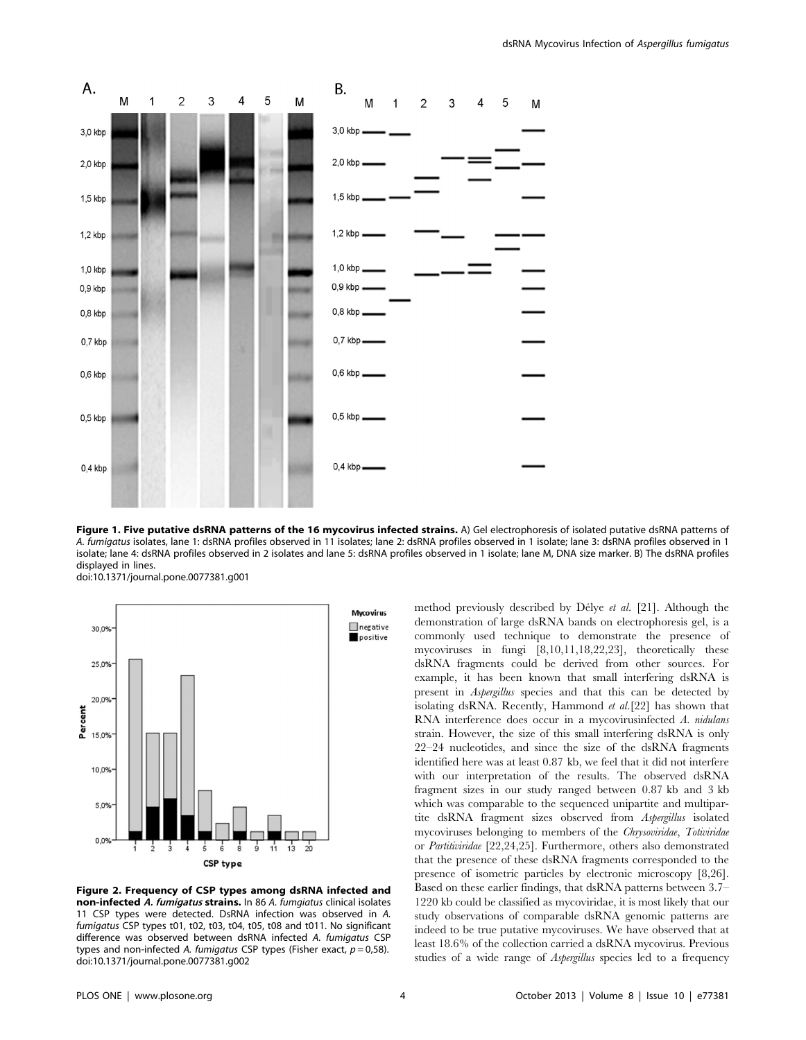

Figure 1. Five putative dsRNA patterns of the 16 mycovirus infected strains. A) Gel electrophoresis of isolated putative dsRNA patterns of A. fumigatus isolates, lane 1: dsRNA profiles observed in 11 isolates; lane 2: dsRNA profiles observed in 1 isolate; lane 3: dsRNA profiles observed in 1 isolate; lane 4: dsRNA profiles observed in 2 isolates and lane 5: dsRNA profiles observed in 1 isolate; lane M, DNA size marker. B) The dsRNA profiles displayed in lines.

doi:10.1371/journal.pone.0077381.g001



Figure 2. Frequency of CSP types among dsRNA infected and non-infected A. fumigatus strains. In 86 A. fumgiatus clinical isolates 11 CSP types were detected. DsRNA infection was observed in A. fumigatus CSP types t01, t02, t03, t04, t05, t08 and t011. No significant difference was observed between dsRNA infected A. fumigatus CSP types and non-infected A. fumigatus CSP types (Fisher exact,  $p = 0.58$ ). doi:10.1371/journal.pone.0077381.g002

method previously described by Délye et al. [21]. Although the demonstration of large dsRNA bands on electrophoresis gel, is a commonly used technique to demonstrate the presence of mycoviruses in fungi [8,10,11,18,22,23], theoretically these dsRNA fragments could be derived from other sources. For example, it has been known that small interfering dsRNA is present in Aspergillus species and that this can be detected by isolating dsRNA. Recently, Hammond et al.[22] has shown that RNA interference does occur in a mycovirusinfected A. nidulans strain. However, the size of this small interfering dsRNA is only 22–24 nucleotides, and since the size of the dsRNA fragments identified here was at least 0.87 kb, we feel that it did not interfere with our interpretation of the results. The observed dsRNA fragment sizes in our study ranged between 0.87 kb and 3 kb which was comparable to the sequenced unipartite and multipartite dsRNA fragment sizes observed from Aspergillus isolated mycoviruses belonging to members of the Chrysoviridae, Totiviridae or Partitiviridae [22,24,25]. Furthermore, others also demonstrated that the presence of these dsRNA fragments corresponded to the presence of isometric particles by electronic microscopy [8,26]. Based on these earlier findings, that dsRNA patterns between 3.7– 1220 kb could be classified as mycoviridae, it is most likely that our study observations of comparable dsRNA genomic patterns are indeed to be true putative mycoviruses. We have observed that at least 18.6% of the collection carried a dsRNA mycovirus. Previous studies of a wide range of Aspergillus species led to a frequency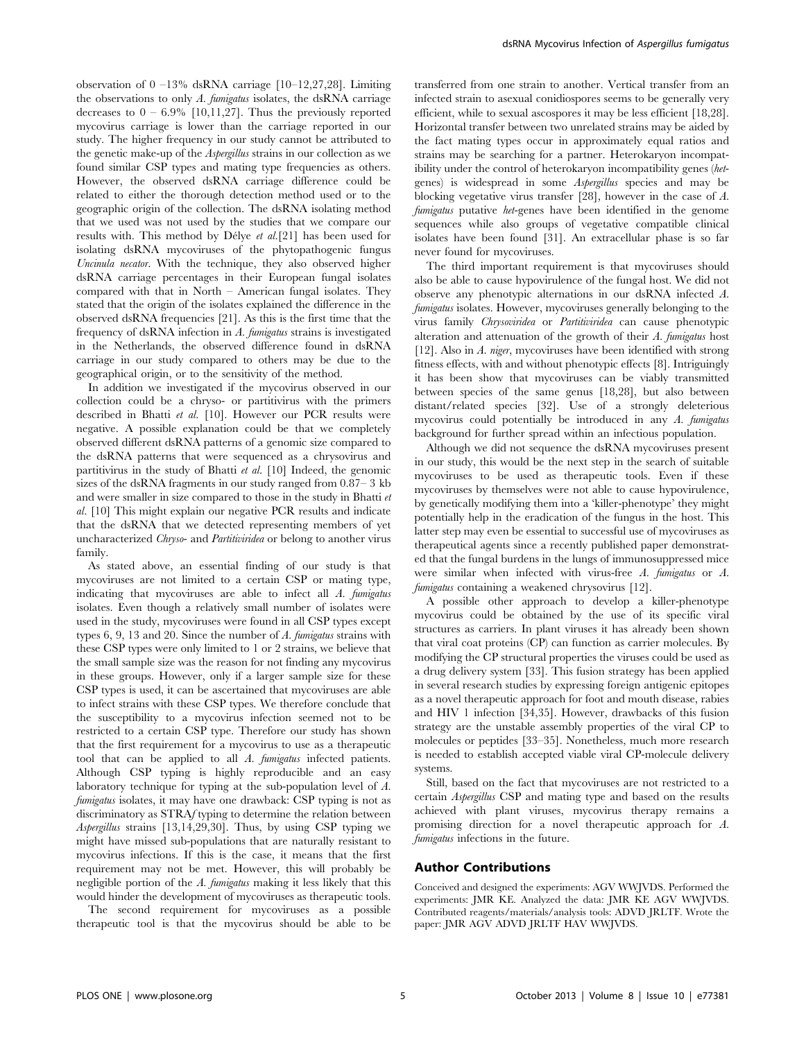observation of  $0 -13\%$  dsRNA carriage [10–12,27,28]. Limiting the observations to only  $A$ . fumigatus isolates, the dsRNA carriage decreases to  $0 - 6.9\%$  [10,11,27]. Thus the previously reported mycovirus carriage is lower than the carriage reported in our study. The higher frequency in our study cannot be attributed to the genetic make-up of the Aspergillus strains in our collection as we found similar CSP types and mating type frequencies as others. However, the observed dsRNA carriage difference could be related to either the thorough detection method used or to the geographic origin of the collection. The dsRNA isolating method that we used was not used by the studies that we compare our results with. This method by Délye et al.[21] has been used for isolating dsRNA mycoviruses of the phytopathogenic fungus Uncinula necator. With the technique, they also observed higher dsRNA carriage percentages in their European fungal isolates compared with that in North – American fungal isolates. They stated that the origin of the isolates explained the difference in the observed dsRNA frequencies [21]. As this is the first time that the frequency of dsRNA infection in A. fumigatus strains is investigated in the Netherlands, the observed difference found in dsRNA carriage in our study compared to others may be due to the geographical origin, or to the sensitivity of the method.

In addition we investigated if the mycovirus observed in our collection could be a chryso- or partitivirus with the primers described in Bhatti et al. [10]. However our PCR results were negative. A possible explanation could be that we completely observed different dsRNA patterns of a genomic size compared to the dsRNA patterns that were sequenced as a chrysovirus and partitivirus in the study of Bhatti et al. [10] Indeed, the genomic sizes of the dsRNA fragments in our study ranged from 0.87– 3 kb and were smaller in size compared to those in the study in Bhatti et al. [10] This might explain our negative PCR results and indicate that the dsRNA that we detected representing members of yet uncharacterized Chryso- and Partitiviridea or belong to another virus family.

As stated above, an essential finding of our study is that mycoviruses are not limited to a certain CSP or mating type, indicating that mycoviruses are able to infect all A. fumigatus isolates. Even though a relatively small number of isolates were used in the study, mycoviruses were found in all CSP types except types  $6, 9, 13$  and  $20$ . Since the number of  $A$ . fumigatus strains with these CSP types were only limited to 1 or 2 strains, we believe that the small sample size was the reason for not finding any mycovirus in these groups. However, only if a larger sample size for these CSP types is used, it can be ascertained that mycoviruses are able to infect strains with these CSP types. We therefore conclude that the susceptibility to a mycovirus infection seemed not to be restricted to a certain CSP type. Therefore our study has shown that the first requirement for a mycovirus to use as a therapeutic tool that can be applied to all A. fumigatus infected patients. Although CSP typing is highly reproducible and an easy laboratory technique for typing at the sub-population level of A. fumigatus isolates, it may have one drawback: CSP typing is not as discriminatory as STRAf typing to determine the relation between Aspergillus strains [13,14,29,30]. Thus, by using CSP typing we might have missed sub-populations that are naturally resistant to mycovirus infections. If this is the case, it means that the first requirement may not be met. However, this will probably be negligible portion of the A. fumigatus making it less likely that this would hinder the development of mycoviruses as therapeutic tools.

The second requirement for mycoviruses as a possible therapeutic tool is that the mycovirus should be able to be transferred from one strain to another. Vertical transfer from an infected strain to asexual conidiospores seems to be generally very efficient, while to sexual ascospores it may be less efficient [18,28]. Horizontal transfer between two unrelated strains may be aided by the fact mating types occur in approximately equal ratios and strains may be searching for a partner. Heterokaryon incompatibility under the control of heterokaryon incompatibility genes (hetgenes) is widespread in some Aspergillus species and may be blocking vegetative virus transfer [28], however in the case of A. fumigatus putative het-genes have been identified in the genome sequences while also groups of vegetative compatible clinical isolates have been found [31]. An extracellular phase is so far never found for mycoviruses.

The third important requirement is that mycoviruses should also be able to cause hypovirulence of the fungal host. We did not observe any phenotypic alternations in our dsRNA infected A. fumigatus isolates. However, mycoviruses generally belonging to the virus family Chrysoviridea or Partitiviridea can cause phenotypic alteration and attenuation of the growth of their A. fumigatus host [12]. Also in A. niger, mycoviruses have been identified with strong fitness effects, with and without phenotypic effects [8]. Intriguingly it has been show that mycoviruses can be viably transmitted between species of the same genus [18,28], but also between distant/related species [32]. Use of a strongly deleterious mycovirus could potentially be introduced in any A. fumigatus background for further spread within an infectious population.

Although we did not sequence the dsRNA mycoviruses present in our study, this would be the next step in the search of suitable mycoviruses to be used as therapeutic tools. Even if these mycoviruses by themselves were not able to cause hypovirulence, by genetically modifying them into a 'killer-phenotype' they might potentially help in the eradication of the fungus in the host. This latter step may even be essential to successful use of mycoviruses as therapeutical agents since a recently published paper demonstrated that the fungal burdens in the lungs of immunosuppressed mice were similar when infected with virus-free A. fumigatus or A. fumigatus containing a weakened chrysovirus [12].

A possible other approach to develop a killer-phenotype mycovirus could be obtained by the use of its specific viral structures as carriers. In plant viruses it has already been shown that viral coat proteins (CP) can function as carrier molecules. By modifying the CP structural properties the viruses could be used as a drug delivery system [33]. This fusion strategy has been applied in several research studies by expressing foreign antigenic epitopes as a novel therapeutic approach for foot and mouth disease, rabies and HIV 1 infection [34,35]. However, drawbacks of this fusion strategy are the unstable assembly properties of the viral CP to molecules or peptides [33–35]. Nonetheless, much more research is needed to establish accepted viable viral CP-molecule delivery systems.

Still, based on the fact that mycoviruses are not restricted to a certain Aspergillus CSP and mating type and based on the results achieved with plant viruses, mycovirus therapy remains a promising direction for a novel therapeutic approach for A. fumigatus infections in the future.

#### Author Contributions

Conceived and designed the experiments: AGV WWJVDS. Performed the experiments: JMR KE. Analyzed the data: JMR KE AGV WWJVDS. Contributed reagents/materials/analysis tools: ADVD JRLTF. Wrote the paper: JMR AGV ADVD JRLTF HAV WWJVDS.